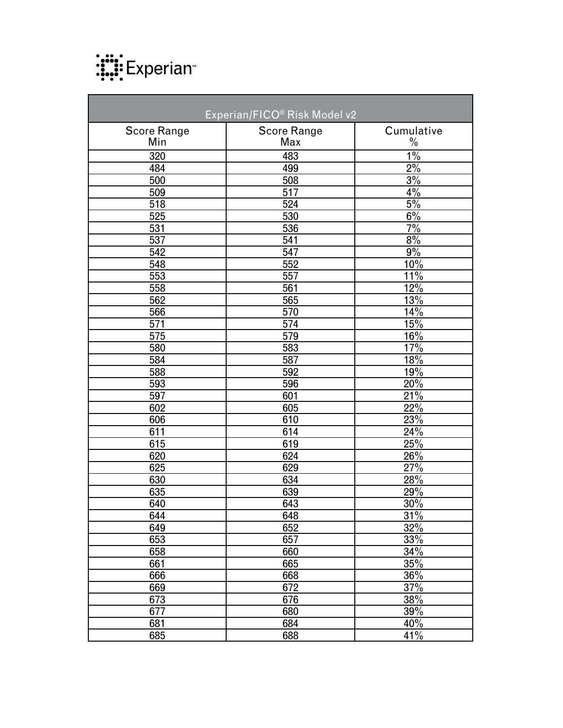

| Experian/FICO® Risk Model v2 |                    |               |  |
|------------------------------|--------------------|---------------|--|
| <b>Score Range</b>           | <b>Score Range</b> | Cumulative    |  |
| Min                          | Max                | $\frac{0}{0}$ |  |
| 320                          | 483                | $1\%$         |  |
| 484                          | 499                | $2\%$         |  |
| 500                          | 508                | 3%            |  |
| 509                          | 517                | 4%            |  |
| 518                          | 524                | 5%            |  |
| 525                          | 530                | $6\%$         |  |
| 531                          | 536                | 7%            |  |
| 537                          | 541                | 8%            |  |
| 542                          | 547                | 9%            |  |
| 548                          | 552                | 10%           |  |
| 553                          | 557                | 11%           |  |
| 558                          | 561                | 12%           |  |
| 562                          | 565                | 13%           |  |
| 566                          | 570                | 14%           |  |
| 571                          | 574                | 15%           |  |
| 575                          | 579                | 16%           |  |
| 580                          | 583                | 17%           |  |
| 584                          | 587                | 18%           |  |
| 588                          | 592                | 19%           |  |
| 593                          | 596                | 20%           |  |
| 597                          | 601                | 21%           |  |
| 602                          | 605                | 22%           |  |
| 606                          | 610                | 23%           |  |
| 611                          | 614                | 24%           |  |
| 615                          | 619                | 25%           |  |
| 620                          | 624                | 26%           |  |
| 625                          | 629                | 27%           |  |
| 630                          | 634                | 28%           |  |
| 635                          | 639                | 29%           |  |
| 640                          | 643                | 30%           |  |
| 644                          | 648                | 31%           |  |
| 649                          | 652                | 32%           |  |
| 653                          | 657                | 33%           |  |
| 658                          | 660                | 34%           |  |
| 661                          | 665                | 35%           |  |
| 666                          | 668                | 36%           |  |
| 669                          | 672                | 37%           |  |
| 673                          | 676                | 38%           |  |
| 677                          | 680                | 39%           |  |
| 681                          | 684                | 40%           |  |
| 685                          | 688                | 41%           |  |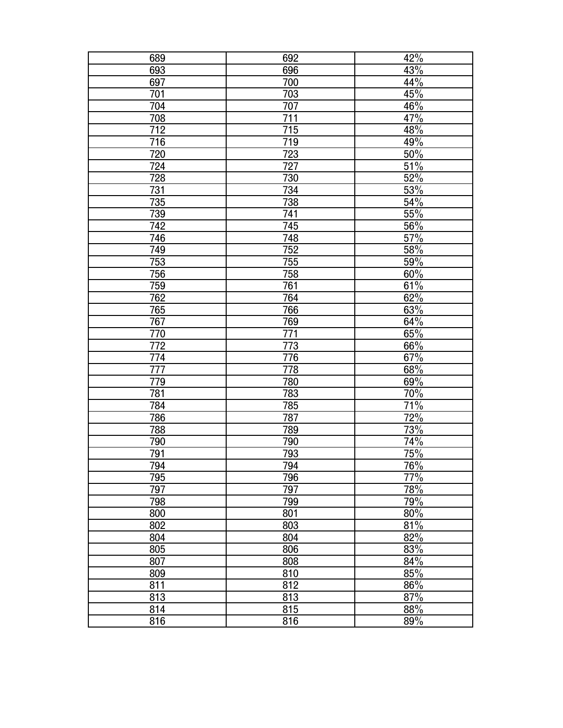| 689              | 692 | 42%              |
|------------------|-----|------------------|
| 693              | 696 | 43%              |
| 697              | 700 | 44%              |
| 701              | 703 | 45%              |
| 704              | 707 | 46%              |
| 708              | 711 | $\frac{47\%}{ }$ |
| $\overline{712}$ | 715 | 48%              |
| 716              | 719 | 49%              |
| 720              | 723 | 50%              |
| 724              | 727 | 51%              |
| 728              | 730 | 52%              |
| 731              | 734 | 53%              |
| 735              | 738 | 54%              |
| 739              | 741 | 55%              |
| 742              | 745 | $\frac{56\%}{ }$ |
| 746              | 748 | 57%              |
| 749              | 752 | 58%              |
| 753              | 755 | 59%              |
| 756              | 758 | 60%              |
| 759              | 761 | 61%              |
| 762              | 764 | 62%              |
| <u>765</u>       | 766 | 63%              |
| 767              | 769 | 64%              |
| 770              | 771 | 65%              |
| 772              | 773 | 66%              |
| 774              | 776 | 67%              |
| 777              | 778 | 68%              |
| 779              | 780 | 69%              |
| 781              | 783 | 70%              |
| 784              | 785 | 71%              |
| 786              | 787 | 72%              |
| 788              | 789 | 73%              |
| 790              | 790 | 74%              |
| 791              | 793 | 75%              |
| 794              | 794 | 76%              |
| 795              | 796 | 77%              |
| 797              | 797 | 78%              |
| 798              | 799 | 79%              |
| 800              | 801 | 80%              |
| 802              | 803 | 81%              |
| 804              | 804 | 82%              |
| 805              | 806 | 83%              |
| 807              | 808 | 84%              |
| 809              | 810 | 85%              |
| 811              | 812 | 86%              |
| 813              | 813 | 87%              |
| 814              | 815 | $\frac{1}{88\%}$ |
| 816              | 816 | 89%              |